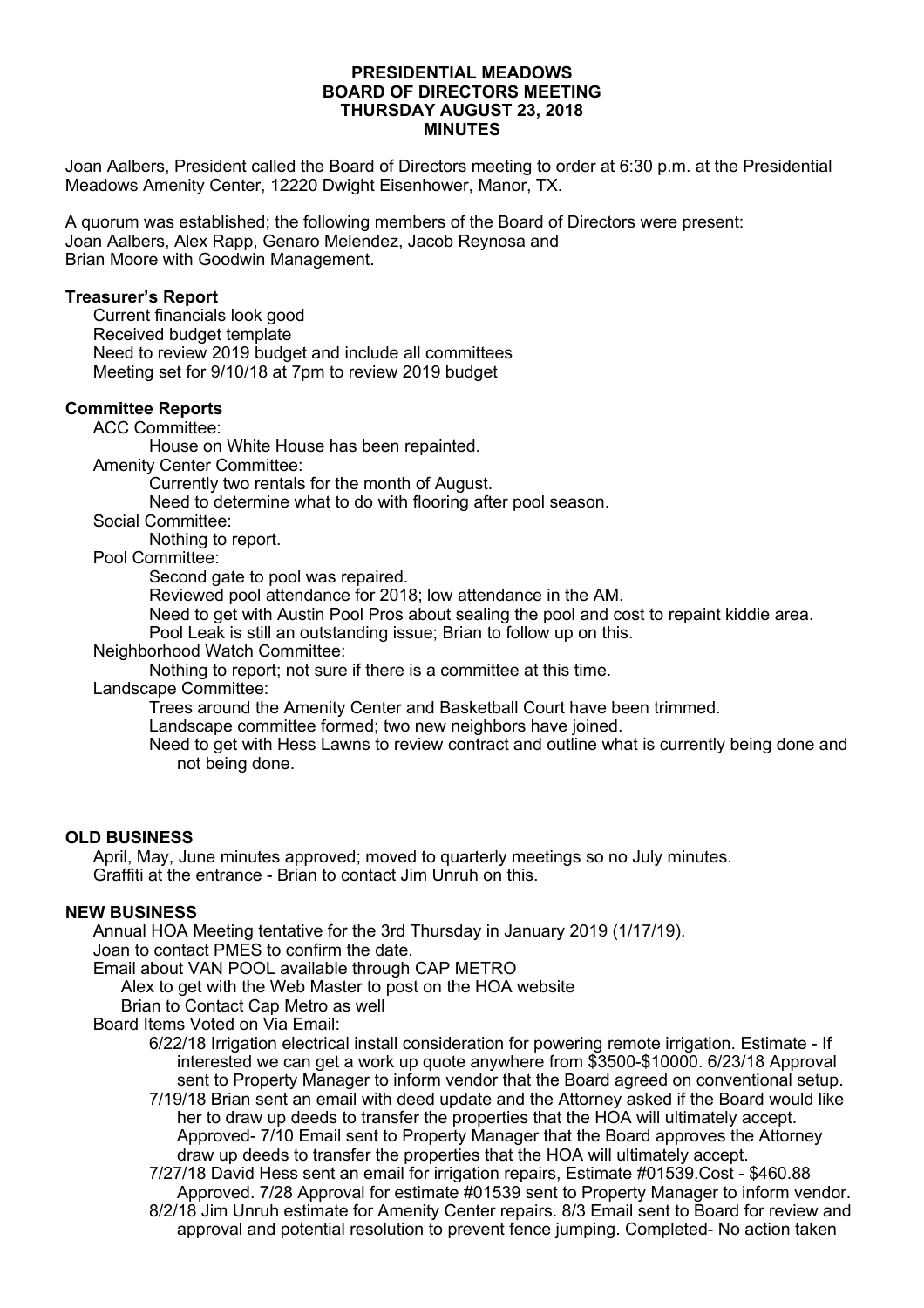### **PRESIDENTIAL MEADOWS BOARD OF DIRECTORS MEETING THURSDAY AUGUST 23, 2018 MINUTES**

Joan Aalbers, President called the Board of Directors meeting to order at 6:30 p.m. at the Presidential Meadows Amenity Center, 12220 Dwight Eisenhower, Manor, TX.

A quorum was established; the following members of the Board of Directors were present: Joan Aalbers, Alex Rapp, Genaro Melendez, Jacob Reynosa and Brian Moore with Goodwin Management.

### **Treasurer's Report**

Current financials look good Received budget template Need to review 2019 budget and include all committees Meeting set for 9/10/18 at 7pm to review 2019 budget

# **Committee Reports**

ACC Committee:

House on White House has been repainted.

Amenity Center Committee:

Currently two rentals for the month of August.

Need to determine what to do with flooring after pool season.

Social Committee:

Nothing to report.

Pool Committee:

Second gate to pool was repaired.

Reviewed pool attendance for 2018; low attendance in the AM.

Need to get with Austin Pool Pros about sealing the pool and cost to repaint kiddie area.

Pool Leak is still an outstanding issue; Brian to follow up on this.

Neighborhood Watch Committee:

Nothing to report; not sure if there is a committee at this time.

Landscape Committee:

Trees around the Amenity Center and Basketball Court have been trimmed.

Landscape committee formed; two new neighbors have joined.

Need to get with Hess Lawns to review contract and outline what is currently being done and not being done.

#### **OLD BUSINESS**

April, May, June minutes approved; moved to quarterly meetings so no July minutes. Graffiti at the entrance - Brian to contact Jim Unruh on this.

# **NEW BUSINESS**

Annual HOA Meeting tentative for the 3rd Thursday in January 2019 (1/17/19).

Joan to contact PMES to confirm the date.

Email about VAN POOL available through CAP METRO

Alex to get with the Web Master to post on the HOA website

Brian to Contact Cap Metro as well

Board Items Voted on Via Email:

6/22/18 Irrigation electrical install consideration for powering remote irrigation. Estimate - If interested we can get a work up quote anywhere from \$3500-\$10000. 6/23/18 Approval sent to Property Manager to inform vendor that the Board agreed on conventional setup.

7/19/18 Brian sent an email with deed update and the Attorney asked if the Board would like her to draw up deeds to transfer the properties that the HOA will ultimately accept. Approved- 7/10 Email sent to Property Manager that the Board approves the Attorney draw up deeds to transfer the properties that the HOA will ultimately accept.

7/27/18 David Hess sent an email for irrigation repairs, Estimate #01539.Cost - \$460.88 Approved. 7/28 Approval for estimate #01539 sent to Property Manager to inform vendor. 8/2/18 Jim Unruh estimate for Amenity Center repairs. 8/3 Email sent to Board for review and approval and potential resolution to prevent fence jumping. Completed- No action taken